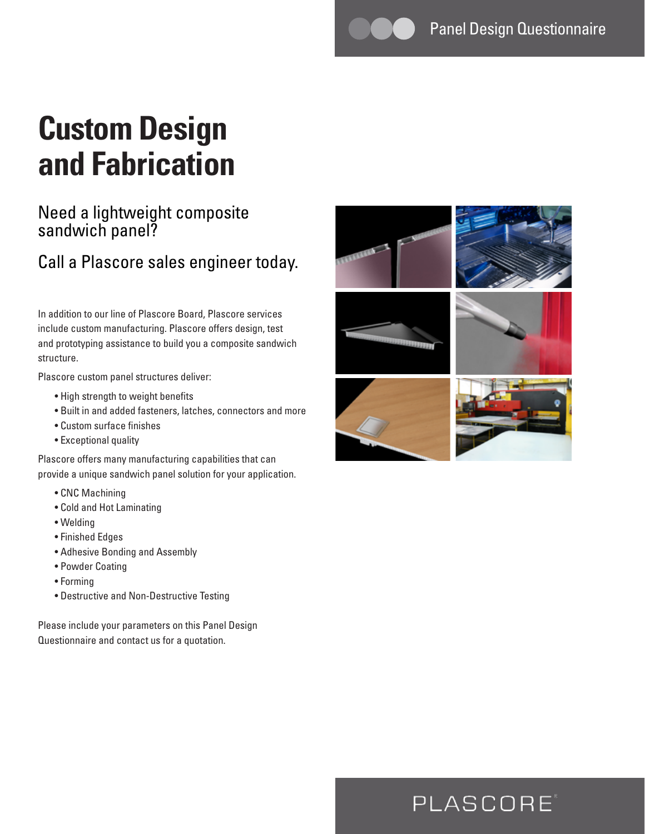# **Custom Design and Fabrication**

### Need a lightweight composite sandwich panel?

### Call a Plascore sales engineer today.

In addition to our line of Plascore Board, Plascore services include custom manufacturing. Plascore offers design, test and prototyping assistance to build you a composite sandwich structure.

Plascore custom panel structures deliver:

- High strength to weight benefits
- Built in and added fasteners, latches, connectors and more
- Custom surface finishes
- Exceptional quality

Plascore offers many manufacturing capabilities that can provide a unique sandwich panel solution for your application.

- CNC Machining
- Cold and Hot Laminating
- Welding
- Finished Edges
- Adhesive Bonding and Assembly
- Powder Coating
- Forming
- Destructive and Non-Destructive Testing

Please include your parameters on this Panel Design Questionnaire and contact us for a quotation.



## PLASCORE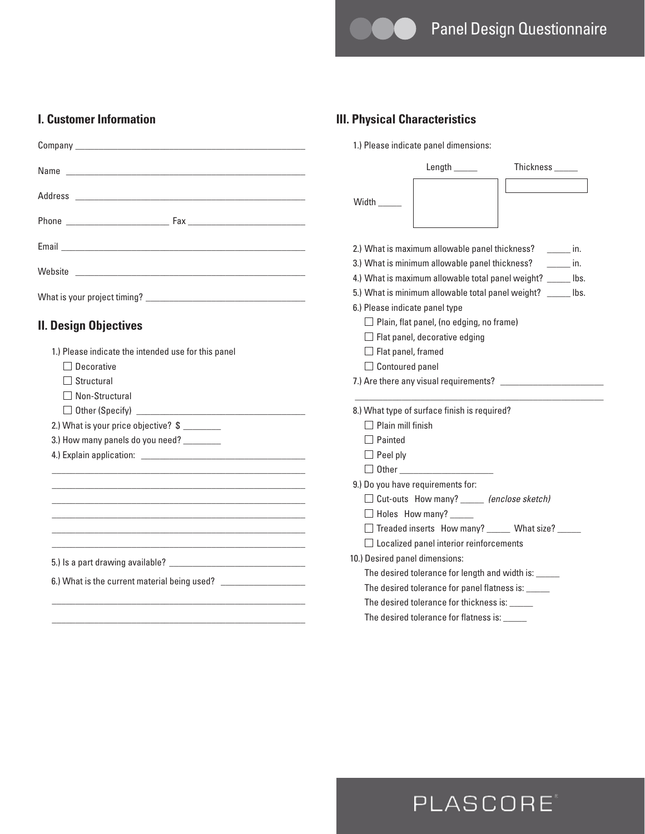**III. Physical Characteristics**

Width \_

1.) Please indicate panel dimensions:

2.) What is maximum allowable panel thickness? \_\_\_\_\_\_\_ in. 3.) What is minimum allowable panel thickness? \_\_\_\_\_\_\_ in. 4.) What is maximum allowable total panel weight? \_\_\_\_\_ lbs.

Length \_\_\_\_\_ Thickness \_\_\_\_\_

#### **I. Customer Information**

| <b>II. Design Objectives</b> |  |
|------------------------------|--|

|                                                                                                                      | 6.) Please indicate panel type<br>$\Box$ Plain, flat panel, (no edging, no frame) |
|----------------------------------------------------------------------------------------------------------------------|-----------------------------------------------------------------------------------|
|                                                                                                                      |                                                                                   |
| II. Design Objectives                                                                                                |                                                                                   |
|                                                                                                                      | $\Box$ Flat panel, decorative edging                                              |
| 1.) Please indicate the intended use for this panel                                                                  | $\Box$ Flat panel, framed                                                         |
| Decorative                                                                                                           | $\Box$ Contoured panel                                                            |
| Structural                                                                                                           |                                                                                   |
| Non-Structural                                                                                                       |                                                                                   |
|                                                                                                                      | 8.) What type of surface finish is required?                                      |
| 2.) What is your price objective? \$                                                                                 | Plain mill finish                                                                 |
| 3.) How many panels do you need? ________                                                                            | Painted                                                                           |
|                                                                                                                      | $\Box$ Peel ply                                                                   |
|                                                                                                                      |                                                                                   |
| <u> 1980 - Jan James James James James James James James James James James James James James James James James J</u> | 9.) Do you have requirements for:                                                 |
| <u> 1989 - Johann Stoff, amerikansk politiker (* 1908)</u>                                                           | $\Box$ Cut-outs How many? _____ (enclose sketch)                                  |
|                                                                                                                      | $\Box$ Holes How many? _____                                                      |
|                                                                                                                      | □ Treaded inserts How many? _____ What size? _____                                |
|                                                                                                                      | $\Box$ Localized panel interior reinforcements                                    |
|                                                                                                                      | 10.) Desired panel dimensions:                                                    |
|                                                                                                                      | The desired tolerance for length and width is: _____                              |
| 6.) What is the current material being used? ___________________________________                                     | The desired tolerance for panel flatness is: _____                                |
|                                                                                                                      | The desired tolerance for thickness is: _____                                     |
|                                                                                                                      | The desired tolerance for flatness is: ______                                     |

### PLASCORE®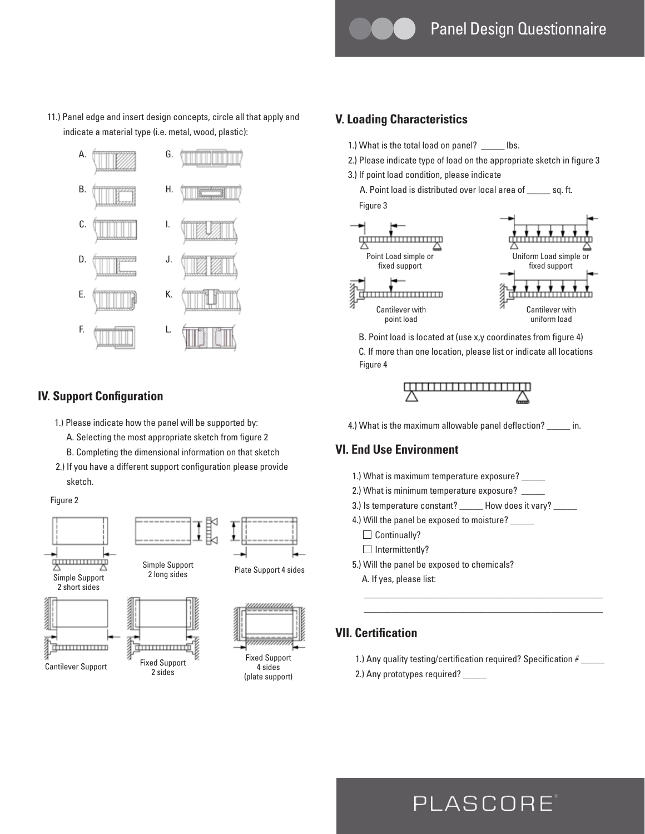11.) Panel edge and insert design concepts, circle all that apply and indicate a material type (i.e. metal, wood, plastic):



#### **IV. Support Configuration**

- 1.) Please indicate how the panel will be supported by:
	- A. Selecting the most appropriate sketch from figure 2
	- B. Completing the dimensional information on that sketch
- 2.) If you have a different support configuration please provide sketch.

Figure 2



#### **V. Loading Characteristics**

- 1.) What is the total load on panel? \_\_\_\_\_ lbs.
- 2.) Please indicate type of load on the appropriate sketch in figure 3
- 3.) If point load condition, please indicate
	- A. Point load is distributed over local area of \_\_\_\_\_ sq. ft. Figure 3



 B. Point load is located at (use x,y coordinates from figure 4) C. If more than one location, please list or indicate all locations Figure 4



4.) What is the maximum allowable panel deflection? \_\_\_\_\_\_ in.

#### **VI. End Use Environment**

- 1.) What is maximum temperature exposure? \_\_\_\_\_
- 2.) What is minimum temperature exposure? \_\_\_\_\_
- 3.) Is temperature constant? How does it vary?
- 4.) Will the panel be exposed to moisture? \_\_\_\_
	- $\Box$  Continually?
	- $\Box$  Intermittently?
- 5.) Will the panel be exposed to chemicals? A. If yes, please list:

### **VII. Certification**

1.) Any quality testing/certification required? Specification # \_\_\_\_\_

 \_\_\_\_\_\_\_\_\_\_\_\_\_\_\_\_\_\_\_\_\_\_\_\_\_\_\_\_\_\_\_\_\_\_\_\_\_\_\_\_\_\_\_\_\_\_\_\_\_\_\_ \_\_\_\_\_\_\_\_\_\_\_\_\_\_\_\_\_\_\_\_\_\_\_\_\_\_\_\_\_\_\_\_\_\_\_\_\_\_\_\_\_\_\_\_\_\_\_\_\_\_\_

2.) Any prototypes required? \_

# PLASCORE